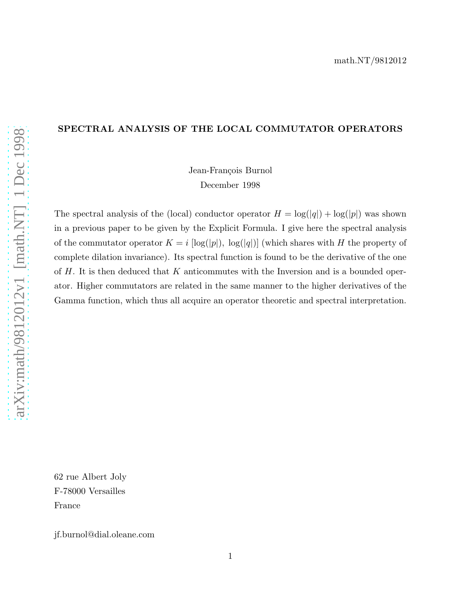# SPECTRAL ANALYSIS OF THE LOCAL COMMUTATOR OPERATORS

Jean-François Burnol December 1998

The spectral analysis of the (local) conductor operator  $H = \log(|q|) + \log(|p|)$  was shown in a previous paper to be given by the Explicit Formula. I give here the spectral analysis of the commutator operator  $K = i [\log(|p|), \log(|q|)]$  (which shares with H the property of complete dilation invariance). Its spectral function is found to be the derivative of the one of  $H$ . It is then deduced that  $K$  anticommutes with the Inversion and is a bounded operator. Higher commutators are related in the same manner to the higher derivatives of the Gamma function, which thus all acquire an operator theoretic and spectral interpretation.

62 rue Albert Joly F-78000 Versailles France

jf.burnol@dial.oleane.com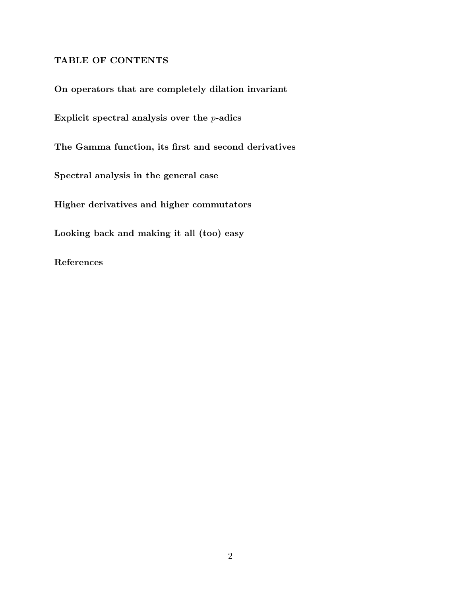## TABLE OF CONTENTS

On operators that are completely dilation invariant

Explicit spectral analysis over the  $p$ -adics

The Gamma function, its first and second derivatives

Spectral analysis in the general case

Higher derivatives and higher commutators

Looking back and making it all (too) easy

References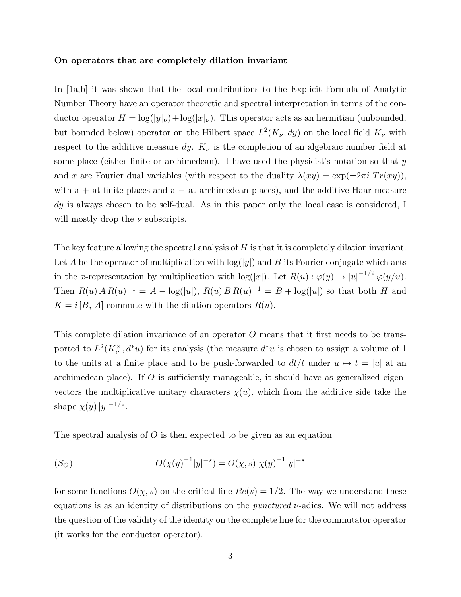#### On operators that are completely dilation invariant

In [1a,b] it was shown that the local contributions to the Explicit Formula of Analytic Number Theory have an operator theoretic and spectral interpretation in terms of the conductor operator  $H = \log(|y|_\nu) + \log(|x|_\nu)$ . This operator acts as an hermitian (unbounded, but bounded below) operator on the Hilbert space  $L^2(K_\nu, dy)$  on the local field  $K_\nu$  with respect to the additive measure dy.  $K_{\nu}$  is the completion of an algebraic number field at some place (either finite or archimedean). I have used the physicist's notation so that  $y$ and x are Fourier dual variables (with respect to the duality  $\lambda(xy) = \exp(\pm 2\pi i Tr(xy))$ , with  $a + at$  finite places and  $a - at$  archimedean places), and the additive Haar measure dy is always chosen to be self-dual. As in this paper only the local case is considered, I will mostly drop the  $\nu$  subscripts.

The key feature allowing the spectral analysis of  $H$  is that it is completely dilation invariant. Let A be the operator of multiplication with  $log(|y|)$  and B its Fourier conjugate which acts in the x-representation by multiplication with  $log(|x|)$ . Let  $R(u): \varphi(y) \mapsto |u|^{-1/2} \varphi(y/u)$ . Then  $R(u) \, A R(u)^{-1} = A - \log(|u|), R(u) B R(u)^{-1} = B + \log(|u|)$  so that both H and  $K = i [B, A]$  commute with the dilation operators  $R(u)$ .

This complete dilation invariance of an operator O means that it first needs to be transported to  $L^2(K_\nu^\times, d^*u)$  for its analysis (the measure  $d^*u$  is chosen to assign a volume of 1 to the units at a finite place and to be push-forwarded to  $dt/t$  under  $u \mapsto t = |u|$  at an archimedean place). If  $O$  is sufficiently manageable, it should have as generalized eigenvectors the multiplicative unitary characters  $\chi(u)$ , which from the additive side take the shape  $\chi(y)|y|^{-1/2}$ .

The spectral analysis of  $O$  is then expected to be given as an equation

$$
(S_O) \t\t\t O(\chi(y)^{-1}|y|^{-s}) = O(\chi, s) \chi(y)^{-1}|y|^{-s}
$$

for some functions  $O(\chi, s)$  on the critical line  $Re(s) = 1/2$ . The way we understand these equations is as an identity of distributions on the *punctured*  $\nu$ -adics. We will not address the question of the validity of the identity on the complete line for the commutator operator (it works for the conductor operator).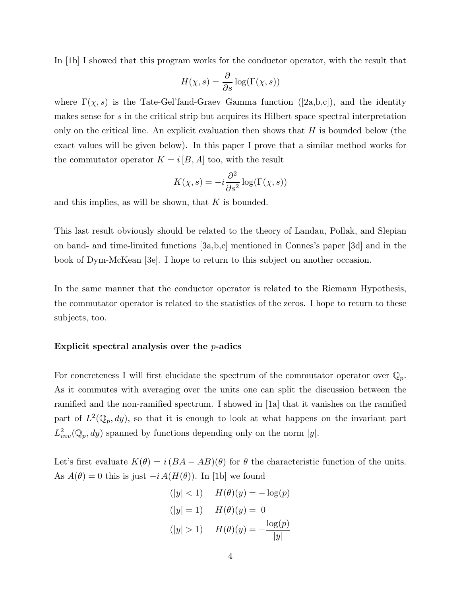In [1b] I showed that this program works for the conductor operator, with the result that

$$
H(\chi, s) = \frac{\partial}{\partial s} \log(\Gamma(\chi, s))
$$

where  $\Gamma(\chi, s)$  is the Tate-Gel'fand-Graev Gamma function ([2a,b,c]), and the identity makes sense for s in the critical strip but acquires its Hilbert space spectral interpretation only on the critical line. An explicit evaluation then shows that  $H$  is bounded below (the exact values will be given below). In this paper I prove that a similar method works for the commutator operator  $K = i [B, A]$  too, with the result

$$
K(\chi, s) = -i \frac{\partial^2}{\partial s^2} \log(\Gamma(\chi, s))
$$

and this implies, as will be shown, that  $K$  is bounded.

This last result obviously should be related to the theory of Landau, Pollak, and Slepian on band- and time-limited functions [3a,b,c] mentioned in Connes's paper [3d] and in the book of Dym-McKean [3e]. I hope to return to this subject on another occasion.

In the same manner that the conductor operator is related to the Riemann Hypothesis, the commutator operator is related to the statistics of the zeros. I hope to return to these subjects, too.

#### Explicit spectral analysis over the  $p$ -adics

For concreteness I will first elucidate the spectrum of the commutator operator over  $\mathbb{Q}_p$ . As it commutes with averaging over the units one can split the discussion between the ramified and the non-ramified spectrum. I showed in [1a] that it vanishes on the ramified part of  $L^2(\mathbb{Q}_p, dy)$ , so that it is enough to look at what happens on the invariant part  $L^2_{inv}(\mathbb{Q}_p, dy)$  spanned by functions depending only on the norm  $|y|$ .

Let's first evaluate  $K(\theta) = i(BA - AB)(\theta)$  for  $\theta$  the characteristic function of the units. As  $A(\theta) = 0$  this is just  $-i A(H(\theta))$ . In [1b] we found

$$
(|y| < 1) \qquad H(\theta)(y) = -\log(p)
$$
\n
$$
(|y| = 1) \qquad H(\theta)(y) = 0
$$
\n
$$
(|y| > 1) \qquad H(\theta)(y) = -\frac{\log(p)}{|y|}
$$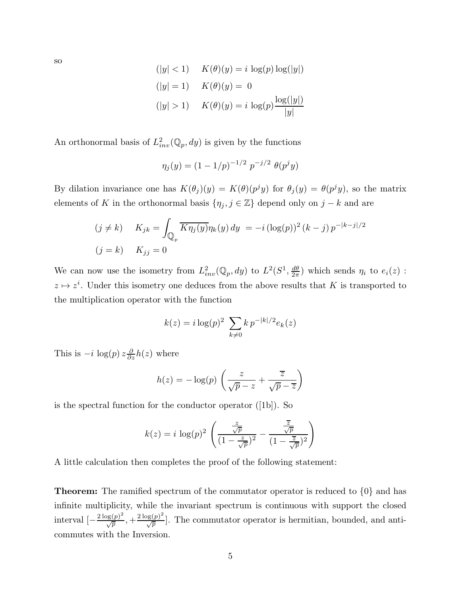$$
(|y| < 1) \quad K(\theta)(y) = i \log(p) \log(|y|)
$$
\n
$$
(|y| = 1) \quad K(\theta)(y) = 0
$$
\n
$$
(|y| > 1) \quad K(\theta)(y) = i \log(p) \frac{\log(|y|)}{|y|}
$$

An orthonormal basis of  $L^2_{inv}(\mathbb{Q}_p, dy)$  is given by the functions

$$
\eta_j(y) = (1 - 1/p)^{-1/2} p^{-j/2} \theta(p^j y)
$$

By dilation invariance one has  $K(\theta_j)(y) = K(\theta)(p^jy)$  for  $\theta_j(y) = \theta(p^jy)$ , so the matrix elements of K in the orthonormal basis  $\{\eta_j, j \in \mathbb{Z}\}\)$  depend only on  $j - k$  and are

$$
(j \neq k) \qquad K_{jk} = \int_{\mathbb{Q}_p} \overline{K \eta_j(y)} \eta_k(y) \, dy = -i \left( \log(p) \right)^2 (k - j) \, p^{-|k - j|/2}
$$

$$
(j = k) \qquad K_{jj} = 0
$$

We can now use the isometry from  $L^2_{inv}(\mathbb{Q}_p, dy)$  to  $L^2(S^1, \frac{d\theta}{2\pi})$  $\frac{d\theta}{2\pi}$ ) which sends  $\eta_i$  to  $e_i(z)$ :  $z \mapsto z^i$ . Under this isometry one deduces from the above results that K is transported to the multiplication operator with the function

$$
k(z) = i \log(p)^2 \sum_{k \neq 0} k p^{-|k|/2} e_k(z)
$$

This is  $-i \log(p) z \frac{\partial}{\partial z} h(z)$  where

$$
h(z) = -\log(p) \left( \frac{z}{\sqrt{p} - z} + \frac{\overline{z}}{\sqrt{p} - \overline{z}} \right)
$$

is the spectral function for the conductor operator ([1b]). So

$$
k(z) = i \log(p)^2 \left( \frac{\frac{z}{\sqrt{p}}}{\left(1 - \frac{z}{\sqrt{p}}\right)^2} - \frac{\frac{\overline{z}}{\sqrt{p}}}{\left(1 - \frac{\overline{z}}{\sqrt{p}}\right)^2} \right)
$$

A little calculation then completes the proof of the following statement:

**Theorem:** The ramified spectrum of the commutator operator is reduced to  $\{0\}$  and has infinite multiplicity, while the invariant spectrum is continuous with support the closed interval  $\left[-\frac{2 \log(p)^2}{\sqrt{p}}\right]$  $\frac{\log(p)^2}{\sqrt{p}},+\frac{2\log(p)^2}{\sqrt{p}}$  $\sqrt{\frac{p(g(p))}{p}}$ . The commutator operator is hermitian, bounded, and anticommutes with the Inversion.

so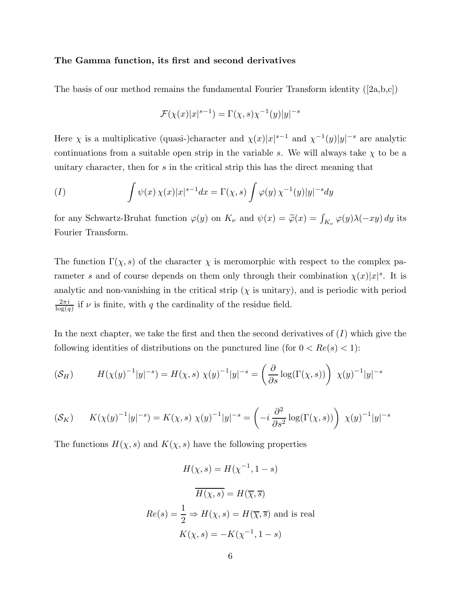#### The Gamma function, its first and second derivatives

The basis of our method remains the fundamental Fourier Transform identity  $(|2a,b,c|)$ 

$$
\mathcal{F}(\chi(x)|x|^{s-1}) = \Gamma(\chi, s)\chi^{-1}(y)|y|^{-s}
$$

Here  $\chi$  is a multiplicative (quasi-)character and  $\chi(x)|x|^{s-1}$  and  $\chi^{-1}(y)|y|^{-s}$  are analytic continuations from a suitable open strip in the variable s. We will always take  $\chi$  to be a unitary character, then for s in the critical strip this has the direct meaning that

$$
(I) \qquad \qquad \int \psi(x) \,\chi(x)|x|^{s-1}dx = \Gamma(\chi, s) \int \varphi(y) \,\chi^{-1}(y)|y|^{-s}dy
$$

for any Schwartz-Bruhat function  $\varphi(y)$  on  $K_{\nu}$  and  $\psi(x) = \tilde{\varphi}(x) = \int_{K_{\nu}} \varphi(y) \lambda(-xy) dy$  its Fourier Transform.

The function  $\Gamma(\chi, s)$  of the character  $\chi$  is meromorphic with respect to the complex parameter s and of course depends on them only through their combination  $\chi(x)|x|^s$ . It is analytic and non-vanishing in the critical strip  $(\chi)$  is unitary), and is periodic with period  $2\pi i$  $\frac{2\pi i}{\log(q)}$  if  $\nu$  is finite, with q the cardinality of the residue field.

In the next chapter, we take the first and then the second derivatives of  $(I)$  which give the following identities of distributions on the punctured line (for  $0 < Re(s) < 1$ ):

$$
(\mathcal{S}_H) \qquad H(\chi(y)^{-1}|y|^{-s}) = H(\chi, s) \ \chi(y)^{-1}|y|^{-s} = \left(\frac{\partial}{\partial s} \log(\Gamma(\chi, s))\right) \ \chi(y)^{-1}|y|^{-s}
$$

$$
(\mathcal{S}_K) \qquad K(\chi(y)^{-1}|y|^{-s}) = K(\chi, s) \; \chi(y)^{-1}|y|^{-s} = \left(-i \; \frac{\partial^2}{\partial s^2} \log(\Gamma(\chi, s))\right) \; \chi(y)^{-1}|y|^{-s}
$$

The functions  $H(\chi, s)$  and  $K(\chi, s)$  have the following properties

$$
H(\chi, s) = H(\chi^{-1}, 1 - s)
$$

$$
\overline{H(\chi, s)} = H(\overline{\chi}, \overline{s})
$$

$$
Re(s) = \frac{1}{2} \Rightarrow H(\chi, s) = H(\overline{\chi}, \overline{s}) \text{ and is real}
$$

$$
K(\chi, s) = -K(\chi^{-1}, 1 - s)
$$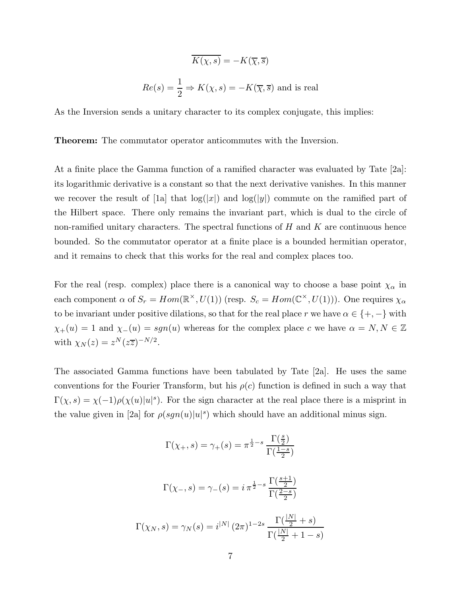$$
\overline{K(\chi, s)} = -K(\overline{\chi}, \overline{s})
$$
  

$$
Re(s) = \frac{1}{2} \Rightarrow K(\chi, s) = -K(\overline{\chi}, \overline{s})
$$
 and is real

As the Inversion sends a unitary character to its complex conjugate, this implies:

Theorem: The commutator operator anticommutes with the Inversion.

At a finite place the Gamma function of a ramified character was evaluated by Tate [2a]: its logarithmic derivative is a constant so that the next derivative vanishes. In this manner we recover the result of [1a] that  $log(|x|)$  and  $log(|y|)$  commute on the ramified part of the Hilbert space. There only remains the invariant part, which is dual to the circle of non-ramified unitary characters. The spectral functions of  $H$  and  $K$  are continuous hence bounded. So the commutator operator at a finite place is a bounded hermitian operator, and it remains to check that this works for the real and complex places too.

For the real (resp. complex) place there is a canonical way to choose a base point  $\chi_{\alpha}$  in each component  $\alpha$  of  $S_r = Hom(\mathbb{R}^\times, U(1))$  (resp.  $S_c = Hom(\mathbb{C}^\times, U(1))$ ). One requires  $\chi_\alpha$ to be invariant under positive dilations, so that for the real place r we have  $\alpha \in \{+, -\}$  with  $\chi_{+}(u) = 1$  and  $\chi_{-}(u) = sgn(u)$  whereas for the complex place c we have  $\alpha = N, N \in \mathbb{Z}$ with  $\chi_N(z) = z^N (z\overline{z})^{-N/2}$ .

The associated Gamma functions have been tabulated by Tate [2a]. He uses the same conventions for the Fourier Transform, but his  $\rho(c)$  function is defined in such a way that  $\Gamma(\chi, s) = \chi(-1)\rho(\chi(u)|u|^{s})$ . For the sign character at the real place there is a misprint in the value given in [2a] for  $\rho(sgn(u)|u|^s)$  which should have an additional minus sign.

$$
\Gamma(\chi_+, s) = \gamma_+(s) = \pi^{\frac{1}{2} - s} \frac{\Gamma(\frac{s}{2})}{\Gamma(\frac{1-s}{2})}
$$

$$
\Gamma(\chi_-, s) = \gamma_-(s) = i \pi^{\frac{1}{2} - s} \frac{\Gamma(\frac{s+1}{2})}{\Gamma(\frac{2-s}{2})}
$$

$$
\Gamma(\chi_N, s) = \gamma_N(s) = i^{|N|} (2\pi)^{1-2s} \frac{\Gamma(\frac{|N|}{2} + s)}{\Gamma(\frac{|N|}{2} + 1 - s)}
$$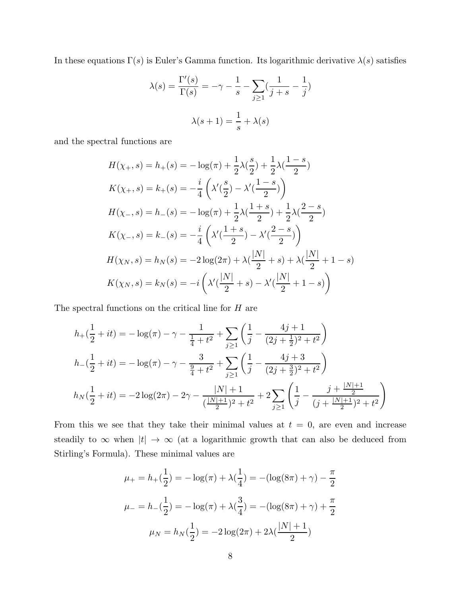In these equations  $\Gamma(s)$  is Euler's Gamma function. Its logarithmic derivative  $\lambda(s)$  satisfies

$$
\lambda(s) = \frac{\Gamma'(s)}{\Gamma(s)} = -\gamma - \frac{1}{s} - \sum_{j \ge 1} \left( \frac{1}{j+s} - \frac{1}{j} \right)
$$

$$
\lambda(s+1) = \frac{1}{s} + \lambda(s)
$$

and the spectral functions are

$$
H(\chi_+, s) = h_+(s) = -\log(\pi) + \frac{1}{2}\lambda(\frac{s}{2}) + \frac{1}{2}\lambda(\frac{1-s}{2})
$$
  
\n
$$
K(\chi_+, s) = k_+(s) = -\frac{i}{4}\left(\lambda'(\frac{s}{2}) - \lambda'(\frac{1-s}{2})\right)
$$
  
\n
$$
H(\chi_-, s) = h_-(s) = -\log(\pi) + \frac{1}{2}\lambda(\frac{1+s}{2}) + \frac{1}{2}\lambda(\frac{2-s}{2})
$$
  
\n
$$
K(\chi_-, s) = k_-(s) = -\frac{i}{4}\left(\lambda'(\frac{1+s}{2}) - \lambda'(\frac{2-s}{2})\right)
$$
  
\n
$$
H(\chi_N, s) = h_N(s) = -2\log(2\pi) + \lambda(\frac{|N|}{2} + s) + \lambda(\frac{|N|}{2} + 1 - s)
$$
  
\n
$$
K(\chi_N, s) = k_N(s) = -i\left(\lambda'(\frac{|N|}{2} + s) - \lambda'(\frac{|N|}{2} + 1 - s)\right)
$$

The spectral functions on the critical line for  $H$  are

$$
h_{+}(\frac{1}{2} + it) = -\log(\pi) - \gamma - \frac{1}{\frac{1}{4} + t^{2}} + \sum_{j \ge 1} \left( \frac{1}{j} - \frac{4j + 1}{(2j + \frac{1}{2})^{2} + t^{2}} \right)
$$
  

$$
h_{-}(\frac{1}{2} + it) = -\log(\pi) - \gamma - \frac{3}{\frac{9}{4} + t^{2}} + \sum_{j \ge 1} \left( \frac{1}{j} - \frac{4j + 3}{(2j + \frac{3}{2})^{2} + t^{2}} \right)
$$
  

$$
h_{N}(\frac{1}{2} + it) = -2\log(2\pi) - 2\gamma - \frac{|N| + 1}{(\frac{|N| + 1}{2})^{2} + t^{2}} + 2\sum_{j \ge 1} \left( \frac{1}{j} - \frac{j + \frac{|N| + 1}{2}}{(j + \frac{|N| + 1}{2})^{2} + t^{2}} \right)
$$

From this we see that they take their minimal values at  $t = 0$ , are even and increase steadily to  $\infty$  when  $|t| \to \infty$  (at a logarithmic growth that can also be deduced from Stirling's Formula). These minimal values are

$$
\mu_{+} = h_{+}(\frac{1}{2}) = -\log(\pi) + \lambda(\frac{1}{4}) = -(\log(8\pi) + \gamma) - \frac{\pi}{2}
$$

$$
\mu_{-} = h_{-}(\frac{1}{2}) = -\log(\pi) + \lambda(\frac{3}{4}) = -(\log(8\pi) + \gamma) + \frac{\pi}{2}
$$

$$
\mu_{N} = h_{N}(\frac{1}{2}) = -2\log(2\pi) + 2\lambda(\frac{|N|+1}{2})
$$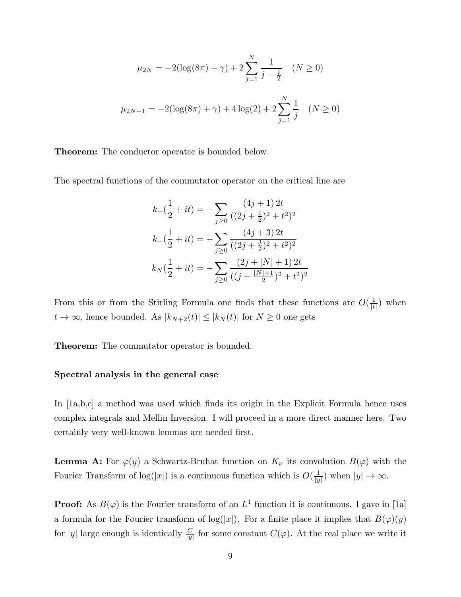$$
\mu_{2N} = -2(\log(8\pi) + \gamma) + 2\sum_{j=1}^{N} \frac{1}{j - \frac{1}{2}} \quad (N \ge 0)
$$

$$
\mu_{2N+1} = -2(\log(8\pi) + \gamma) + 4\log(2) + 2\sum_{j=1}^{N} \frac{1}{j} \quad (N \ge 0)
$$

Theorem: The conductor operator is bounded below.

The spectral functions of the commutator operator on the critical line are

$$
k_{+}(\frac{1}{2} + it) = -\sum_{j\geq 0} \frac{(4j+1)2t}{((2j+\frac{1}{2})^2+t^2)^2}
$$

$$
k_{-}(\frac{1}{2} + it) = -\sum_{j\geq 0} \frac{(4j+3)2t}{((2j+\frac{3}{2})^2+t^2)^2}
$$

$$
k_{N}(\frac{1}{2} + it) = -\sum_{j\geq 0} \frac{(2j+|N|+1)2t}{((j+\frac{|N|+1}{2})^2+t^2)^2}
$$

From this or from the Stirling Formula one finds that these functions are  $O(\frac{1}{k})$  $\frac{1}{|t|}$  when  $t\rightarrow\infty,$  hence bounded. As  $|k_{N+2}(t)|\leq |k_{N}(t)|$  for  $N\geq 0$  one gets

Theorem: The commutator operator is bounded.

## Spectral analysis in the general case

In [1a,b,c] a method was used which finds its origin in the Explicit Formula hence uses complex integrals and Mellin Inversion. I will proceed in a more direct manner here. Two certainly very well-known lemmas are needed first.

**Lemma A:** For  $\varphi(y)$  a Schwartz-Bruhat function on  $K_{\nu}$  its convolution  $B(\varphi)$  with the Fourier Transform of  $log(|x|)$  is a continuous function which is  $O(\frac{1}{|y|})$  $\frac{1}{|y|}$ ) when  $|y| \to \infty$ .

**Proof:** As  $B(\varphi)$  is the Fourier transform of an  $L^1$  function it is continuous. I gave in [1a] a formula for the Fourier transform of  $log(|x|)$ . For a finite place it implies that  $B(\varphi)(y)$ for |y| large enough is identically  $\frac{C}{|y|}$  for some constant  $C(\varphi)$ . At the real place we write it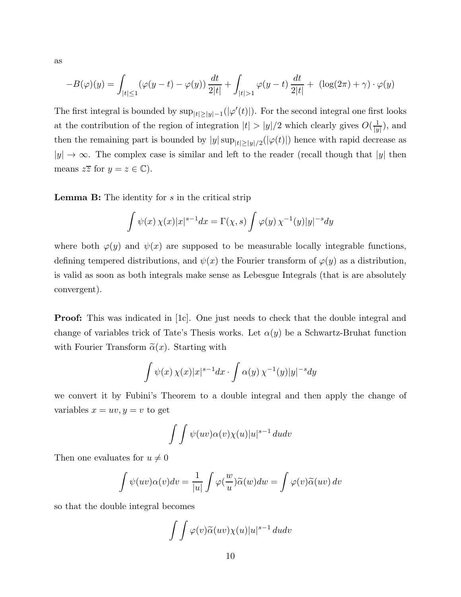as

$$
-B(\varphi)(y) = \int_{|t| \le 1} (\varphi(y - t) - \varphi(y)) \frac{dt}{2|t|} + \int_{|t| > 1} \varphi(y - t) \frac{dt}{2|t|} + (\log(2\pi) + \gamma) \cdot \varphi(y)
$$

The first integral is bounded by  $\sup_{|t| \ge |y|-1} (|\varphi'(t)|)$ . For the second integral one first looks at the contribution of the region of integration  $|t| > |y|/2$  which clearly gives  $O(\frac{1}{|y|})$  $\frac{1}{|y|}$ ), and then the remaining part is bounded by  $|y| \sup_{|t| \ge |y|/2} (|\varphi(t)|)$  hence with rapid decrease as  $|y| \to \infty$ . The complex case is similar and left to the reader (recall though that  $|y|$  then means  $z\overline{z}$  for  $y = z \in \mathbb{C}$ ).

**Lemma B:** The identity for  $s$  in the critical strip

$$
\int \psi(x) \,\chi(x)|x|^{s-1}dx = \Gamma(\chi, s) \int \varphi(y) \,\chi^{-1}(y)|y|^{-s}dy
$$

where both  $\varphi(y)$  and  $\psi(x)$  are supposed to be measurable locally integrable functions, defining tempered distributions, and  $\psi(x)$  the Fourier transform of  $\varphi(y)$  as a distribution, is valid as soon as both integrals make sense as Lebesgue Integrals (that is are absolutely convergent).

**Proof:** This was indicated in [1c]. One just needs to check that the double integral and change of variables trick of Tate's Thesis works. Let  $\alpha(y)$  be a Schwartz-Bruhat function with Fourier Transform  $\tilde{\alpha}(x)$ . Starting with

$$
\int \psi(x) \, \chi(x) |x|^{s-1} dx \cdot \int \alpha(y) \, \chi^{-1}(y) |y|^{-s} dy
$$

we convert it by Fubini's Theorem to a double integral and then apply the change of variables  $x = uv, y = v$  to get

$$
\int \int \psi(uv)\alpha(v)\chi(u)|u|^{s-1} du dv
$$

Then one evaluates for  $u \neq 0$ 

$$
\int \psi(uv)\alpha(v)dv = \frac{1}{|u|}\int \varphi(\frac{w}{u})\widetilde{\alpha}(w)dw = \int \varphi(v)\widetilde{\alpha}(uv) dv
$$

so that the double integral becomes

$$
\int \int \varphi(v)\widetilde{\alpha}(uv)\chi(u)|u|^{s-1} \,dudv
$$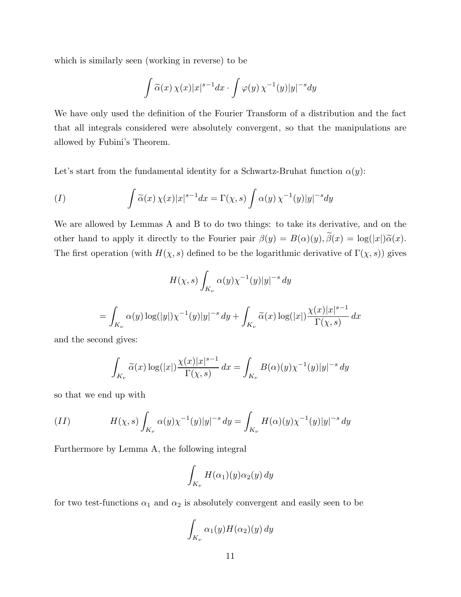which is similarly seen (working in reverse) to be

$$
\int \widetilde{\alpha}(x) \, \chi(x) |x|^{s-1} dx \cdot \int \varphi(y) \, \chi^{-1}(y) |y|^{-s} dy
$$

We have only used the definition of the Fourier Transform of a distribution and the fact that all integrals considered were absolutely convergent, so that the manipulations are allowed by Fubini's Theorem.

Let's start from the fundamental identity for a Schwartz-Bruhat function  $\alpha(y)$ :

$$
(I) \qquad \int \widetilde{\alpha}(x) \,\chi(x)|x|^{s-1}dx = \Gamma(\chi, s) \int \alpha(y) \,\chi^{-1}(y)|y|^{-s}dy
$$

We are allowed by Lemmas A and B to do two things: to take its derivative, and on the other hand to apply it directly to the Fourier pair  $\beta(y) = B(\alpha)(y), \tilde{\beta}(x) = \log(|x|)\tilde{\alpha}(x)$ . The first operation (with  $H(\chi, s)$  defined to be the logarithmic derivative of  $\Gamma(\chi, s)$ ) gives

$$
H(\chi, s) \int_{K_{\nu}} \alpha(y) \chi^{-1}(y)|y|^{-s} dy
$$
  
= 
$$
\int_{K_{\nu}} \alpha(y) \log(|y|) \chi^{-1}(y)|y|^{-s} dy + \int_{K_{\nu}} \widetilde{\alpha}(x) \log(|x|) \frac{\chi(x)|x|^{s-1}}{\Gamma(\chi, s)} dx
$$

and the second gives:

$$
\int_{K_{\nu}} \widetilde{\alpha}(x) \log(|x|) \frac{\chi(x)|x|^{s-1}}{\Gamma(\chi, s)} dx = \int_{K_{\nu}} B(\alpha)(y) \chi^{-1}(y)|y|^{-s} dy
$$

so that we end up with

(II) 
$$
H(\chi, s) \int_{K_{\nu}} \alpha(y) \chi^{-1}(y) |y|^{-s} dy = \int_{K_{\nu}} H(\alpha)(y) \chi^{-1}(y) |y|^{-s} dy
$$

Furthermore by Lemma A, the following integral

$$
\int_{K_{\nu}} H(\alpha_1)(y) \alpha_2(y) dy
$$

for two test-functions  $\alpha_1$  and  $\alpha_2$  is absolutely convergent and easily seen to be

$$
\int_{K_{\nu}} \alpha_1(y) H(\alpha_2)(y) \, dy
$$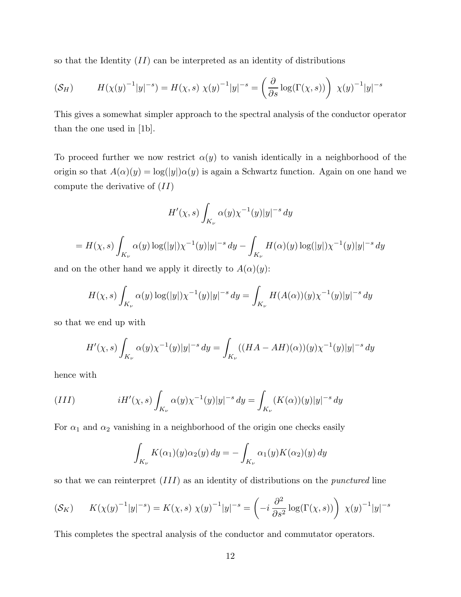so that the Identity  $(II)$  can be interpreted as an identity of distributions

$$
(\mathcal{S}_H) \qquad H(\chi(y)^{-1}|y|^{-s}) = H(\chi, s) \ \chi(y)^{-1}|y|^{-s} = \left(\frac{\partial}{\partial s} \log(\Gamma(\chi, s))\right) \ \chi(y)^{-1}|y|^{-s}
$$

This gives a somewhat simpler approach to the spectral analysis of the conductor operator than the one used in [1b].

To proceed further we now restrict  $\alpha(y)$  to vanish identically in a neighborhood of the origin so that  $A(\alpha)(y) = \log(|y|)\alpha(y)$  is again a Schwartz function. Again on one hand we compute the derivative of  $(II)$ 

$$
H'(\chi, s) \int_{K_{\nu}} \alpha(y) \chi^{-1}(y)|y|^{-s} dy
$$
  
=  $H(\chi, s) \int_{K_{\nu}} \alpha(y) \log(|y|) \chi^{-1}(y)|y|^{-s} dy - \int_{K_{\nu}} H(\alpha)(y) \log(|y|) \chi^{-1}(y)|y|^{-s} dy$ 

and on the other hand we apply it directly to  $A(\alpha)(y)$ :

$$
H(\chi, s) \int_{K_{\nu}} \alpha(y) \log(|y|) \chi^{-1}(y)|y|^{-s} dy = \int_{K_{\nu}} H(A(\alpha))(y) \chi^{-1}(y)|y|^{-s} dy
$$

so that we end up with

$$
H'(\chi, s) \int_{K_{\nu}} \alpha(y) \chi^{-1}(y)|y|^{-s} dy = \int_{K_{\nu}} ((HA - AH)(\alpha))(y) \chi^{-1}(y)|y|^{-s} dy
$$

hence with

(III) 
$$
iH'(\chi, s) \int_{K_{\nu}} \alpha(y) \chi^{-1}(y) |y|^{-s} dy = \int_{K_{\nu}} (K(\alpha))(y) |y|^{-s} dy
$$

For  $\alpha_1$  and  $\alpha_2$  vanishing in a neighborhood of the origin one checks easily

$$
\int_{K_{\nu}} K(\alpha_1)(y)\alpha_2(y) dy = -\int_{K_{\nu}} \alpha_1(y)K(\alpha_2)(y) dy
$$

so that we can reinterpret (III) as an identity of distributions on the punctured line

$$
(\mathcal{S}_K) \qquad K(\chi(y)^{-1}|y|^{-s}) = K(\chi, s) \; \chi(y)^{-1}|y|^{-s} = \left(-i \; \frac{\partial^2}{\partial s^2} \log(\Gamma(\chi, s))\right) \; \chi(y)^{-1}|y|^{-s}
$$

This completes the spectral analysis of the conductor and commutator operators.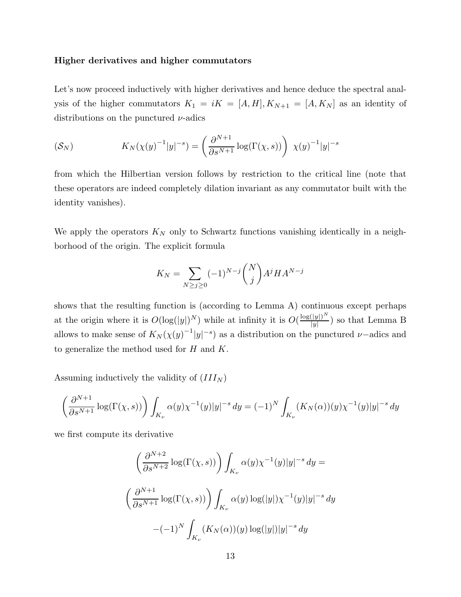#### Higher derivatives and higher commutators

Let's now proceed inductively with higher derivatives and hence deduce the spectral analysis of the higher commutators  $K_1 = iK = [A, H], K_{N+1} = [A, K_N]$  as an identity of distributions on the punctured  $\nu$ -adics

$$
K_N(\chi(y)^{-1}|y|^{-s}) = \left(\frac{\partial^{N+1}}{\partial s^{N+1}}\log(\Gamma(\chi,s))\right)\chi(y)^{-1}|y|^{-s}
$$

from which the Hilbertian version follows by restriction to the critical line (note that these operators are indeed completely dilation invariant as any commutator built with the identity vanishes).

We apply the operators  $K_N$  only to Schwartz functions vanishing identically in a neighborhood of the origin. The explicit formula

$$
K_N = \sum_{N \ge j \ge 0} (-1)^{N-j} \binom{N}{j} A^j H A^{N-j}
$$

shows that the resulting function is (according to Lemma A) continuous except perhaps at the origin where it is  $O(\log(|y|)^N)$  while at infinity it is  $O(\frac{\log(|y|)^N}{|y|})$  $\frac{(|y|)}{|y|}$  so that Lemma B allows to make sense of  $K_N(\chi(y)^{-1}|y|^{-s})$  as a distribution on the punctured  $\nu$ -adics and to generalize the method used for  $H$  and  $K$ .

Assuming inductively the validity of  $(III<sub>N</sub>)$ 

$$
\left(\frac{\partial^{N+1}}{\partial s^{N+1}}\log(\Gamma(\chi,s))\right)\int_{K_{\nu}}\alpha(y)\chi^{-1}(y)|y|^{-s} dy = (-1)^N\int_{K_{\nu}}(K_N(\alpha))(y)\chi^{-1}(y)|y|^{-s} dy
$$

we first compute its derivative

$$
\left(\frac{\partial^{N+2}}{\partial s^{N+2}} \log(\Gamma(\chi, s))\right) \int_{K_{\nu}} \alpha(y) \chi^{-1}(y) |y|^{-s} dy =
$$
  

$$
\left(\frac{\partial^{N+1}}{\partial s^{N+1}} \log(\Gamma(\chi, s))\right) \int_{K_{\nu}} \alpha(y) \log(|y|) \chi^{-1}(y) |y|^{-s} dy
$$
  

$$
-(-1)^N \int_{K_{\nu}} (K_N(\alpha))(y) \log(|y|) |y|^{-s} dy
$$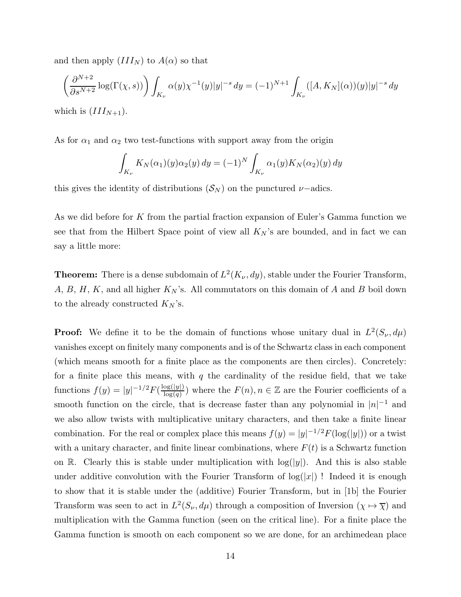and then apply  $(III_N)$  to  $A(\alpha)$  so that

$$
\left(\frac{\partial^{N+2}}{\partial s^{N+2}} \log(\Gamma(\chi, s))\right) \int_{K_{\nu}} \alpha(y) \chi^{-1}(y)|y|^{-s} dy = (-1)^{N+1} \int_{K_{\nu}} ([A, K_N](\alpha))(y)|y|^{-s} dy
$$
  
which is  $(III_{N+1})$ .

As for  $\alpha_1$  and  $\alpha_2$  two test-functions with support away from the origin

$$
\int_{K_{\nu}} K_N(\alpha_1)(y) \alpha_2(y) dy = (-1)^N \int_{K_{\nu}} \alpha_1(y) K_N(\alpha_2)(y) dy
$$

this gives the identity of distributions  $(S_N)$  on the punctured  $\nu$ -adics.

As we did before for K from the partial fraction expansion of Euler's Gamma function we see that from the Hilbert Space point of view all  $K_N$ 's are bounded, and in fact we can say a little more:

**Theorem:** There is a dense subdomain of  $L^2(K_\nu, dy)$ , stable under the Fourier Transform,  $A, B, H, K$ , and all higher  $K_N$ 's. All commutators on this domain of A and B boil down to the already constructed  $K_N$ 's.

**Proof:** We define it to be the domain of functions whose unitary dual in  $L^2(S_\nu, d\mu)$ vanishes except on finitely many components and is of the Schwartz class in each component (which means smooth for a finite place as the components are then circles). Concretely: for a finite place this means, with  $q$  the cardinality of the residue field, that we take functions  $f(y) = |y|^{-1/2} F(\frac{\log(|y|)}{\log(q)})$  where the  $F(n), n \in \mathbb{Z}$  are the Fourier coefficients of a smooth function on the circle, that is decrease faster than any polynomial in  $|n|^{-1}$  and we also allow twists with multiplicative unitary characters, and then take a finite linear combination. For the real or complex place this means  $f(y) = |y|^{-1/2} F(\log(|y|))$  or a twist with a unitary character, and finite linear combinations, where  $F(t)$  is a Schwartz function on R. Clearly this is stable under multiplication with  $\log(|y|)$ . And this is also stable under additive convolution with the Fourier Transform of  $log(|x|)$ ! Indeed it is enough to show that it is stable under the (additive) Fourier Transform, but in [1b] the Fourier Transform was seen to act in  $L^2(S_\nu, d\mu)$  through a composition of Inversion  $(\chi \mapsto \overline{\chi})$  and multiplication with the Gamma function (seen on the critical line). For a finite place the Gamma function is smooth on each component so we are done, for an archimedean place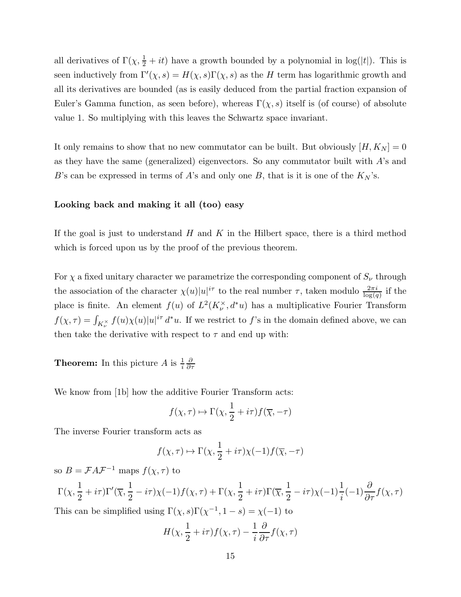all derivatives of  $\Gamma(\chi, \frac{1}{2} + it)$  have a growth bounded by a polynomial in log(|t|). This is seen inductively from  $\Gamma'(\chi, s) = H(\chi, s) \Gamma(\chi, s)$  as the H term has logarithmic growth and all its derivatives are bounded (as is easily deduced from the partial fraction expansion of Euler's Gamma function, as seen before), whereas  $\Gamma(\chi, s)$  itself is (of course) of absolute value 1. So multiplying with this leaves the Schwartz space invariant.

It only remains to show that no new commutator can be built. But obviously  $[H, K_N] = 0$ as they have the same (generalized) eigenvectors. So any commutator built with A's and B's can be expressed in terms of A's and only one B, that is it is one of the  $K_N$ 's.

## Looking back and making it all (too) easy

If the goal is just to understand  $H$  and  $K$  in the Hilbert space, there is a third method which is forced upon us by the proof of the previous theorem.

For  $\chi$  a fixed unitary character we parametrize the corresponding component of  $S_{\nu}$  through the association of the character  $\chi(u)|u|^{i\tau}$  to the real number  $\tau$ , taken modulo  $\frac{2\pi i}{\log(q)}$  if the place is finite. An element  $f(u)$  of  $L^2(K_{\nu}^{\times}, d^*u)$  has a multiplicative Fourier Transform  $f(\chi,\tau) = \int_{K_{\nu}^{\times}} f(u)\chi(u)|u|^{i\tau} d^*u$ . If we restrict to f's in the domain defined above, we can then take the derivative with respect to  $\tau$  and end up with:

**Theorem:** In this picture A is  $\frac{1}{i}$ ∂ ∂τ

We know from [1b] how the additive Fourier Transform acts:

$$
f(\chi, \tau) \mapsto \Gamma(\chi, \frac{1}{2} + i\tau) f(\overline{\chi}, -\tau)
$$

The inverse Fourier transform acts as

$$
f(\chi, \tau) \mapsto \Gamma(\chi, \frac{1}{2} + i\tau)\chi(-1)f(\overline{\chi}, -\tau)
$$

so  $B = \mathcal{F} A \mathcal{F}^{-1}$  maps  $f(\chi, \tau)$  to

$$
\Gamma(\chi,\frac{1}{2}+i\tau)\Gamma'(\overline{\chi},\frac{1}{2}-i\tau)\chi(-1)f(\chi,\tau)+\Gamma(\chi,\frac{1}{2}+i\tau)\Gamma(\overline{\chi},\frac{1}{2}-i\tau)\chi(-1)\frac{1}{i}(-1)\frac{\partial}{\partial\tau}f(\chi,\tau)
$$

This can be simplified using  $\Gamma(\chi, s)\Gamma(\chi^{-1}, 1-s) = \chi(-1)$  to

$$
H(\chi, \frac{1}{2} + i\tau) f(\chi, \tau) - \frac{1}{i} \frac{\partial}{\partial \tau} f(\chi, \tau)
$$